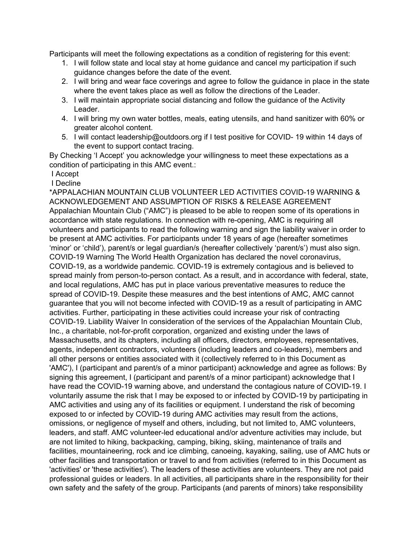Participants will meet the following expectations as a condition of registering for this event:

- 1. I will follow state and local stay at home guidance and cancel my participation if such guidance changes before the date of the event.
- 2. I will bring and wear face coverings and agree to follow the guidance in place in the state where the event takes place as well as follow the directions of the Leader.
- 3. I will maintain appropriate social distancing and follow the guidance of the Activity Leader.
- 4. I will bring my own water bottles, meals, eating utensils, and hand sanitizer with 60% or greater alcohol content.
- 5. I will contact leadership@outdoors.org if I test positive for COVID- 19 within 14 days of the event to support contact tracing.

By Checking 'I Accept' you acknowledge your willingness to meet these expectations as a condition of participating in this AMC event.:

I Accept

I Decline

\*APPALACHIAN MOUNTAIN CLUB VOLUNTEER LED ACTIVITIES COVID-19 WARNING & ACKNOWLEDGEMENT AND ASSUMPTION OF RISKS & RELEASE AGREEMENT Appalachian Mountain Club ("AMC") is pleased to be able to reopen some of its operations in accordance with state regulations. In connection with re-opening, AMC is requiring all volunteers and participants to read the following warning and sign the liability waiver in order to be present at AMC activities. For participants under 18 years of age (hereafter sometimes 'minor' or 'child'), parent/s or legal guardian/s (hereafter collectively 'parent/s') must also sign. COVID-19 Warning The World Health Organization has declared the novel coronavirus, COVID-19, as a worldwide pandemic. COVID-19 is extremely contagious and is believed to spread mainly from person-to-person contact. As a result, and in accordance with federal, state, and local regulations, AMC has put in place various preventative measures to reduce the spread of COVID-19. Despite these measures and the best intentions of AMC, AMC cannot guarantee that you will not become infected with COVID-19 as a result of participating in AMC activities. Further, participating in these activities could increase your risk of contracting COVID-19. Liability Waiver In consideration of the services of the Appalachian Mountain Club, Inc., a charitable, not-for-profit corporation, organized and existing under the laws of Massachusetts, and its chapters, including all officers, directors, employees, representatives, agents, independent contractors, volunteers (including leaders and co-leaders), members and all other persons or entities associated with it (collectively referred to in this Document as 'AMC'), I (participant and parent/s of a minor participant) acknowledge and agree as follows: By signing this agreement, I (participant and parent/s of a minor participant) acknowledge that I have read the COVID-19 warning above, and understand the contagious nature of COVID-19. I voluntarily assume the risk that I may be exposed to or infected by COVID-19 by participating in AMC activities and using any of its facilities or equipment. I understand the risk of becoming exposed to or infected by COVID-19 during AMC activities may result from the actions, omissions, or negligence of myself and others, including, but not limited to, AMC volunteers, leaders, and staff. AMC volunteer-led educational and/or adventure activities may include, but are not limited to hiking, backpacking, camping, biking, skiing, maintenance of trails and facilities, mountaineering, rock and ice climbing, canoeing, kayaking, sailing, use of AMC huts or other facilities and transportation or travel to and from activities (referred to in this Document as 'activities' or 'these activities'). The leaders of these activities are volunteers. They are not paid professional guides or leaders. In all activities, all participants share in the responsibility for their own safety and the safety of the group. Participants (and parents of minors) take responsibility